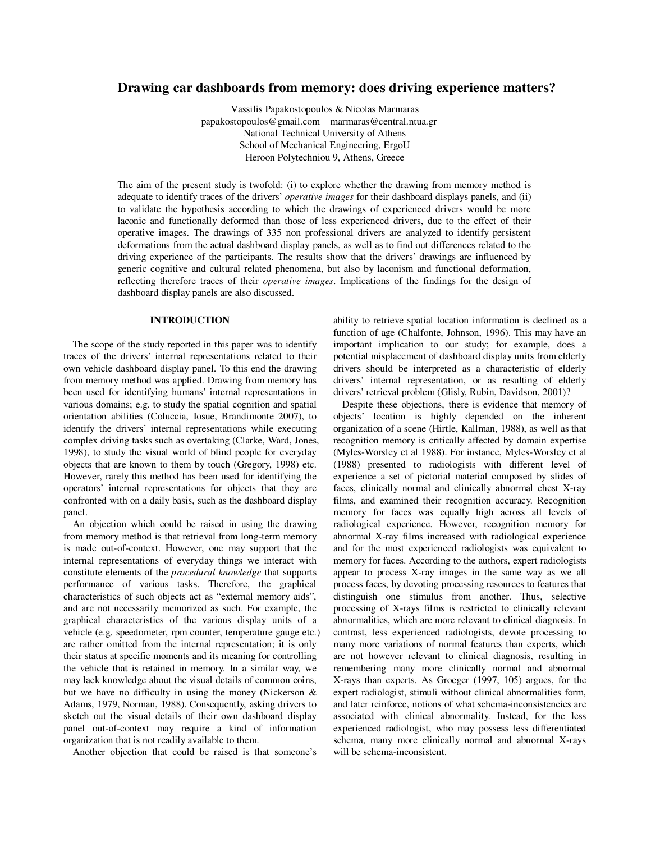# **Drawing car dashboards from memory: does driving experience matters?**

Vassilis Papakostopoulos & Nicolas Marmaras papakostopoulos@gmail.com marmaras@central.ntua.gr National Technical University of Athens School of Mechanical Engineering, ErgoU Heroon Polytechniou 9, Athens, Greece

The aim of the present study is twofold: (i) to explore whether the drawing from memory method is adequate to identify traces of the drivers' *operative images* for their dashboard displays panels, and (ii) to validate the hypothesis according to which the drawings of experienced drivers would be more laconic and functionally deformed than those of less experienced drivers, due to the effect of their operative images. The drawings of 335 non professional drivers are analyzed to identify persistent deformations from the actual dashboard display panels, as well as to find out differences related to the driving experience of the participants. The results show that the drivers' drawings are influenced by generic cognitive and cultural related phenomena, but also by laconism and functional deformation, reflecting therefore traces of their *operative images*. Implications of the findings for the design of dashboard display panels are also discussed.

#### **INTRODUCTION**

The scope of the study reported in this paper was to identify traces of the drivers' internal representations related to their own vehicle dashboard display panel. To this end the drawing from memory method was applied. Drawing from memory has been used for identifying humans' internal representations in various domains; e.g. to study the spatial cognition and spatial orientation abilities (Coluccia, Iosue, Brandimonte 2007), to identify the drivers' internal representations while executing complex driving tasks such as overtaking (Clarke, Ward, Jones, 1998), to study the visual world of blind people for everyday objects that are known to them by touch (Gregory, 1998) etc. However, rarely this method has been used for identifying the operators' internal representations for objects that they are confronted with on a daily basis, such as the dashboard display panel.

An objection which could be raised in using the drawing from memory method is that retrieval from long-term memory is made out-of-context. However, one may support that the internal representations of everyday things we interact with constitute elements of the *procedural knowledge* that supports performance of various tasks. Therefore, the graphical characteristics of such objects act as "external memory aids", and are not necessarily memorized as such. For example, the graphical characteristics of the various display units of a vehicle (e.g. speedometer, rpm counter, temperature gauge etc.) are rather omitted from the internal representation; it is only their status at specific moments and its meaning for controlling the vehicle that is retained in memory. In a similar way, we may lack knowledge about the visual details of common coins, but we have no difficulty in using the money (Nickerson & Adams, 1979, Norman, 1988). Consequently, asking drivers to sketch out the visual details of their own dashboard display panel out-of-context may require a kind of information organization that is not readily available to them.

Another objection that could be raised is that someone's

ability to retrieve spatial location information is declined as a function of age (Chalfonte, Johnson, 1996). This may have an important implication to our study; for example, does a potential misplacement of dashboard display units from elderly drivers should be interpreted as a characteristic of elderly drivers' internal representation, or as resulting of elderly drivers' retrieval problem (Glisly, Rubin, Davidson, 2001)?

Despite these objections, there is evidence that memory of objects' location is highly depended on the inherent organization of a scene (Hirtle, Kallman, 1988), as well as that recognition memory is critically affected by domain expertise (Myles-Worsley et al 1988). For instance, Myles-Worsley et al (1988) presented to radiologists with different level of experience a set of pictorial material composed by slides of faces, clinically normal and clinically abnormal chest X-ray films, and examined their recognition accuracy. Recognition memory for faces was equally high across all levels of radiological experience. However, recognition memory for abnormal X-ray films increased with radiological experience and for the most experienced radiologists was equivalent to memory for faces. According to the authors, expert radiologists appear to process X-ray images in the same way as we all process faces, by devoting processing resources to features that distinguish one stimulus from another. Thus, selective processing of X-rays films is restricted to clinically relevant abnormalities, which are more relevant to clinical diagnosis. In contrast, less experienced radiologists, devote processing to many more variations of normal features than experts, which are not however relevant to clinical diagnosis, resulting in remembering many more clinically normal and abnormal X-rays than experts. As Groeger (1997, 105) argues, for the expert radiologist, stimuli without clinical abnormalities form, and later reinforce, notions of what schema-inconsistencies are associated with clinical abnormality. Instead, for the less experienced radiologist, who may possess less differentiated schema, many more clinically normal and abnormal X-rays will be schema-inconsistent.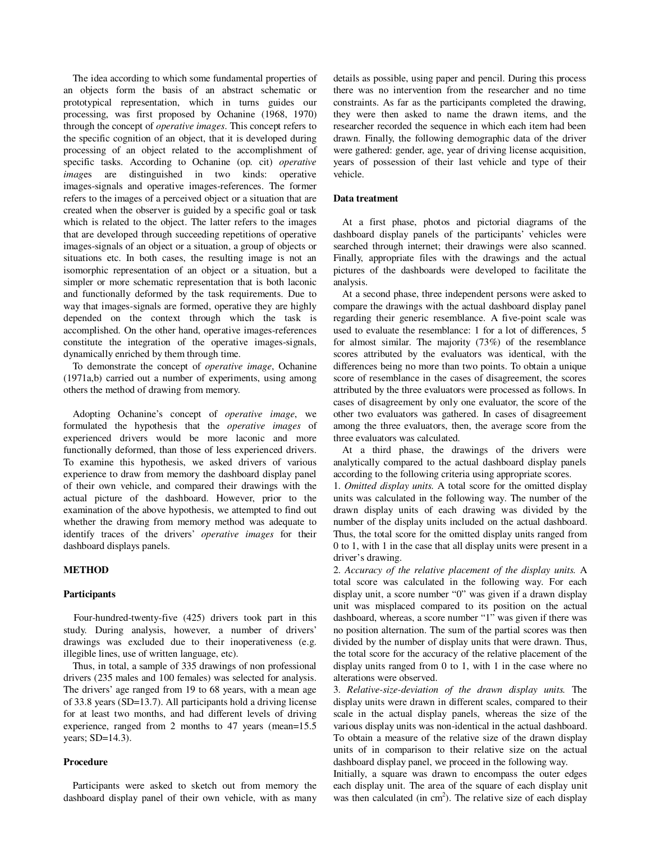The idea according to which some fundamental properties of an objects form the basis of an abstract schematic or prototypical representation, which in turns guides our processing, was first proposed by Ochanine (1968, 1970) through the concept of *operative images*. This concept refers to the specific cognition of an object, that it is developed during processing of an object related to the accomplishment of specific tasks. According to Ochanine (op. cit) *operative imag*es are distinguished in two kinds: operative images-signals and operative images-references. The former refers to the images of a perceived object or a situation that are created when the observer is guided by a specific goal or task which is related to the object. The latter refers to the images that are developed through succeeding repetitions of operative images-signals of an object or a situation, a group of objects or situations etc. In both cases, the resulting image is not an isomorphic representation of an object or a situation, but a simpler or more schematic representation that is both laconic and functionally deformed by the task requirements. Due to way that images-signals are formed, operative they are highly depended on the context through which the task is accomplished. On the other hand, operative images-references constitute the integration of the operative images-signals, dynamically enriched by them through time.

To demonstrate the concept of *operative image*, Ochanine (1971a,b) carried out a number of experiments, using among others the method of drawing from memory.

Adopting Ochanine's concept of *operative image*, we formulated the hypothesis that the *operative images* of experienced drivers would be more laconic and more functionally deformed, than those of less experienced drivers. To examine this hypothesis, we asked drivers of various experience to draw from memory the dashboard display panel of their own vehicle, and compared their drawings with the actual picture of the dashboard. However, prior to the examination of the above hypothesis, we attempted to find out whether the drawing from memory method was adequate to identify traces of the drivers' *operative images* for their dashboard displays panels.

### **METHOD**

### **Participants**

Four-hundred-twenty-five (425) drivers took part in this study. During analysis, however, a number of drivers' drawings was excluded due to their inoperativeness (e.g. illegible lines, use of written language, etc).

Thus, in total, a sample of 335 drawings of non professional drivers (235 males and 100 females) was selected for analysis. The drivers' age ranged from 19 to 68 years, with a mean age of 33.8 years (SD=13.7). All participants hold a driving license for at least two months, and had different levels of driving experience, ranged from 2 months to 47 years (mean=15.5 years; SD=14.3).

### **Procedure**

Participants were asked to sketch out from memory the dashboard display panel of their own vehicle, with as many

details as possible, using paper and pencil. During this process there was no intervention from the researcher and no time constraints. As far as the participants completed the drawing, they were then asked to name the drawn items, and the researcher recorded the sequence in which each item had been drawn. Finally, the following demographic data of the driver were gathered: gender, age, year of driving license acquisition, years of possession of their last vehicle and type of their vehicle.

### **Data treatment**

At a first phase, photos and pictorial diagrams of the dashboard display panels of the participants' vehicles were searched through internet; their drawings were also scanned. Finally, appropriate files with the drawings and the actual pictures of the dashboards were developed to facilitate the analysis.

At a second phase, three independent persons were asked to compare the drawings with the actual dashboard display panel regarding their generic resemblance. A five-point scale was used to evaluate the resemblance: 1 for a lot of differences, 5 for almost similar. The majority (73%) of the resemblance scores attributed by the evaluators was identical, with the differences being no more than two points. To obtain a unique score of resemblance in the cases of disagreement, the scores attributed by the three evaluators were processed as follows. In cases of disagreement by only one evaluator, the score of the other two evaluators was gathered. In cases of disagreement among the three evaluators, then, the average score from the three evaluators was calculated.

At a third phase, the drawings of the drivers were analytically compared to the actual dashboard display panels according to the following criteria using appropriate scores.

1. *Omitted display units.* A total score for the omitted display units was calculated in the following way. The number of the drawn display units of each drawing was divided by the number of the display units included on the actual dashboard. Thus, the total score for the omitted display units ranged from 0 to 1, with 1 in the case that all display units were present in a driver's drawing.

2. *Accuracy of the relative placement of the display units.* A total score was calculated in the following way. For each display unit, a score number "0" was given if a drawn display unit was misplaced compared to its position on the actual dashboard, whereas, a score number "1" was given if there was no position alternation. The sum of the partial scores was then divided by the number of display units that were drawn. Thus, the total score for the accuracy of the relative placement of the display units ranged from 0 to 1, with 1 in the case where no alterations were observed.

3. *Relative-size-deviation of the drawn display units.* The display units were drawn in different scales, compared to their scale in the actual display panels, whereas the size of the various display units was non-identical in the actual dashboard. To obtain a measure of the relative size of the drawn display units of in comparison to their relative size on the actual dashboard display panel, we proceed in the following way.

Initially, a square was drawn to encompass the outer edges each display unit. The area of the square of each display unit was then calculated (in  $cm<sup>2</sup>$ ). The relative size of each display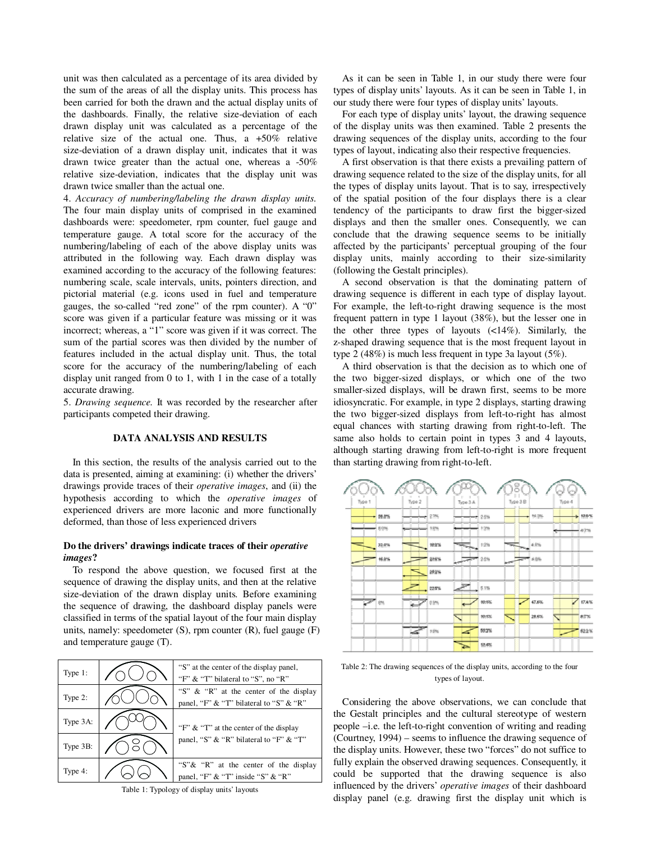unit was then calculated as a percentage of its area divided by the sum of the areas of all the display units. This process has been carried for both the drawn and the actual display units of the dashboards. Finally, the relative size-deviation of each drawn display unit was calculated as a percentage of the relative size of the actual one. Thus, a +50% relative size-deviation of a drawn display unit, indicates that it was drawn twice greater than the actual one, whereas a -50% relative size-deviation, indicates that the display unit was drawn twice smaller than the actual one.

4. *Accuracy of numbering/labeling the drawn display units.*  The four main display units of comprised in the examined dashboards were: speedometer, rpm counter, fuel gauge and temperature gauge. A total score for the accuracy of the numbering/labeling of each of the above display units was attributed in the following way. Each drawn display was examined according to the accuracy of the following features: numbering scale, scale intervals, units, pointers direction, and pictorial material (e.g. icons used in fuel and temperature gauges, the so-called "red zone" of the rpm counter). A "0" score was given if a particular feature was missing or it was incorrect; whereas, a "1" score was given if it was correct. The sum of the partial scores was then divided by the number of features included in the actual display unit. Thus, the total score for the accuracy of the numbering/labeling of each display unit ranged from 0 to 1, with 1 in the case of a totally accurate drawing.

5. *Drawing sequence.* It was recorded by the researcher after participants competed their drawing.

# **DATA ANALYSIS AND RESULTS**

In this section, the results of the analysis carried out to the data is presented, aiming at examining: (i) whether the drivers' drawings provide traces of their *operative images*, and (ii) the hypothesis according to which the *operative images* of experienced drivers are more laconic and more functionally deformed, than those of less experienced drivers

### **Do the drivers' drawings indicate traces of their** *operative images***?**

To respond the above question, we focused first at the sequence of drawing the display units, and then at the relative size-deviation of the drawn display units*.* Before examining the sequence of drawing, the dashboard display panels were classified in terms of the spatial layout of the four main display units, namely: speedometer (S), rpm counter (R), fuel gauge (F) and temperature gauge (T).

| Type $1$ : | "S" at the center of the display panel,<br>"F" & "T" bilateral to "S", no "R"     |
|------------|-----------------------------------------------------------------------------------|
| Type 2:    | "S" & "R" at the center of the display<br>panel, "F" & "T" bilateral to "S" & "R" |
| Type 3A:   | "F" & "T" at the center of the display                                            |
| Type 3B:   | panel, "S" & "R" bilateral to "F" & "T"                                           |
| Type 4:    | "S"& "R" at the center of the display<br>panel, "F" & "T" inside "S" & "R"        |

Table 1: Typology of display units' layouts

As it can be seen in Table 1, in our study there were four types of display units' layouts. As it can be seen in Table 1, in our study there were four types of display units' layouts.

For each type of display units' layout, the drawing sequence of the display units was then examined. Table 2 presents the drawing sequences of the display units, according to the four types of layout, indicating also their respective frequencies.

A first observation is that there exists a prevailing pattern of drawing sequence related to the size of the display units, for all the types of display units layout. That is to say, irrespectively of the spatial position of the four displays there is a clear tendency of the participants to draw first the bigger-sized displays and then the smaller ones. Consequently, we can conclude that the drawing sequence seems to be initially affected by the participants' perceptual grouping of the four display units, mainly according to their size-similarity (following the Gestalt principles).

A second observation is that the dominating pattern of drawing sequence is different in each type of display layout. For example, the left-to-right drawing sequence is the most frequent pattern in type 1 layout (38%), but the lesser one in the other three types of layouts (<14%). Similarly, the z-shaped drawing sequence that is the most frequent layout in type 2 (48%) is much less frequent in type 3a layout (5%).

A third observation is that the decision as to which one of the two bigger-sized displays, or which one of the two smaller-sized displays, will be drawn first, seems to be more idiosyncratic. For example, in type 2 displays, starting drawing the two bigger-sized displays from left-to-right has almost equal chances with starting drawing from right-to-left. The same also holds to certain point in types 3 and 4 layouts, although starting drawing from left-to-right is more frequent than starting drawing from right-to-left.

|                               |       |        |         |          |        | ŏ        |                  |   |        |           |
|-------------------------------|-------|--------|---------|----------|--------|----------|------------------|---|--------|-----------|
| Type 1                        |       | Type 2 |         | Type 3 A |        | Type 3 B |                  |   | Type 4 |           |
|                               | 36.0% |        | $-2.7%$ |          | $-25%$ |          | 14.9%            |   |        | p. 12.9%  |
|                               | 6.0%  | ___    | 18%     |          | 1.2%   |          |                  |   |        | $-0.276$  |
|                               | 32.0% |        | 18.9%   |          | 1.2%   |          | $4.0\%$<br>The L |   |        |           |
|                               | 16.0% |        | 22.6%   | an 1     | 2.5%   |          | 4.9%             |   |        |           |
|                               |       |        | 28.2%   |          |        |          |                  |   |        |           |
|                               |       |        | 22.5%   |          | \$5%   |          |                  |   |        |           |
| $\overline{\mathbb{R}^{d^2}}$ | 8%    |        | 0.596   |          | 99.9%  |          | 47.6%            |   |        | $Z$ 17.4% |
|                               |       |        |         |          | 10.1%  | ٩        | 28.6%            | ۹ |        | 87%       |
|                               |       | 2      | 1.9%    |          | 52.2%  |          |                  |   |        | 122%      |
|                               |       |        |         |          | \$3,4% |          |                  |   |        |           |

Table 2: The drawing sequences of the display units, according to the four types of layout.

Considering the above observations, we can conclude that the Gestalt principles and the cultural stereotype of western people –i.e. the left-to-right convention of writing and reading (Courtney, 1994) – seems to influence the drawing sequence of the display units. However, these two "forces" do not suffice to fully explain the observed drawing sequences. Consequently, it could be supported that the drawing sequence is also influenced by the drivers' *operative images* of their dashboard display panel (e.g. drawing first the display unit which is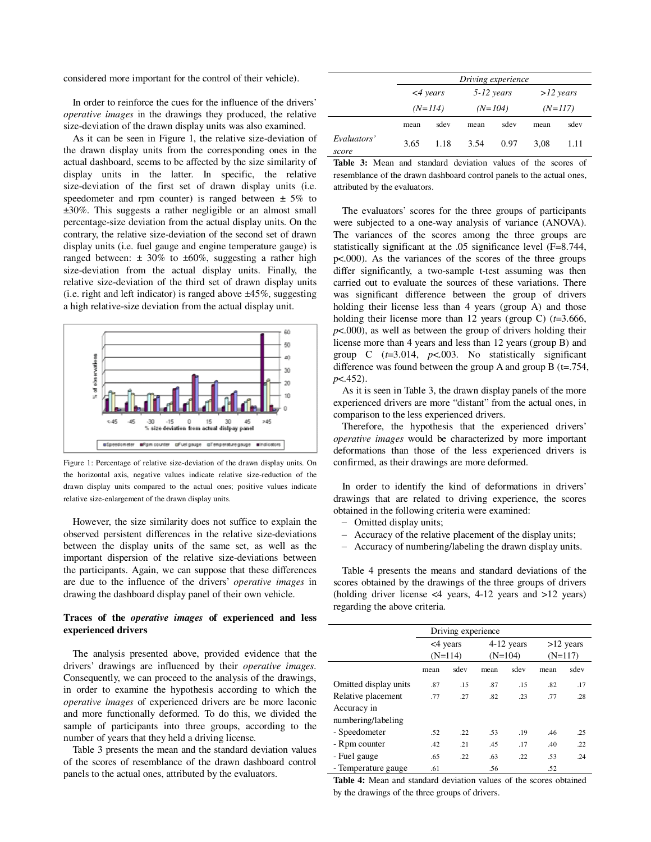considered more important for the control of their vehicle).

In order to reinforce the cues for the influence of the drivers' *operative images* in the drawings they produced, the relative size-deviation of the drawn display units was also examined.

As it can be seen in Figure 1, the relative size-deviation of the drawn display units from the corresponding ones in the actual dashboard, seems to be affected by the size similarity of display units in the latter. In specific, the relative size-deviation of the first set of drawn display units (i.e. speedometer and rpm counter) is ranged between  $\pm$  5% to ±30%. This suggests a rather negligible or an almost small percentage-size deviation from the actual display units. On the contrary, the relative size-deviation of the second set of drawn display units (i.e. fuel gauge and engine temperature gauge) is ranged between:  $\pm 30\%$  to  $\pm 60\%$ , suggesting a rather high size-deviation from the actual display units. Finally, the relative size-deviation of the third set of drawn display units (i.e. right and left indicator) is ranged above  $\pm 45\%$ , suggesting a high relative-size deviation from the actual display unit.



Figure 1: Percentage of relative size-deviation of the drawn display units. On the horizontal axis, negative values indicate relative size-reduction of the drawn display units compared to the actual ones; positive values indicate relative size-enlargement of the drawn display units.

However, the size similarity does not suffice to explain the observed persistent differences in the relative size-deviations between the display units of the same set, as well as the important dispersion of the relative size-deviations between the participants. Again, we can suppose that these differences are due to the influence of the drivers' *operative images* in drawing the dashboard display panel of their own vehicle.

## **Traces of the** *operative images* **of experienced and less experienced drivers**

The analysis presented above, provided evidence that the drivers' drawings are influenced by their *operative images*. Consequently, we can proceed to the analysis of the drawings, in order to examine the hypothesis according to which the *operative images* of experienced drivers are be more laconic and more functionally deformed. To do this, we divided the sample of participants into three groups, according to the number of years that they held a driving license.

Table 3 presents the mean and the standard deviation values of the scores of resemblance of the drawn dashboard control panels to the actual ones, attributed by the evaluators.

|                      | Driving experience |                |           |              |           |             |  |  |  |
|----------------------|--------------------|----------------|-----------|--------------|-----------|-------------|--|--|--|
|                      |                    | $\leq$ 4 years |           | $5-12$ years |           | $>12$ years |  |  |  |
|                      | $(N=114)$          |                | $(N=104)$ |              | $(N=117)$ |             |  |  |  |
|                      | mean               | sdev           | mean      | sdev         | mean      | sdev        |  |  |  |
| Evaluators'<br>score | 3.65               | 1.18           | 3.54      | 0.97         | 3.08      | 1.11        |  |  |  |

**Table 3:** Mean and standard deviation values of the scores of resemblance of the drawn dashboard control panels to the actual ones, attributed by the evaluators.

The evaluators' scores for the three groups of participants were subjected to a one-way analysis of variance (ANOVA). The variances of the scores among the three groups are statistically significant at the .05 significance level (F=8.744, p<.000). As the variances of the scores of the three groups differ significantly, a two-sample t-test assuming was then carried out to evaluate the sources of these variations. There was significant difference between the group of drivers holding their license less than 4 years (group A) and those holding their license more than 12 years (group C) (*t*=3.666, *p*<.000), as well as between the group of drivers holding their license more than 4 years and less than 12 years (group B) and group C (*t*=3.014, *p*<.003. No statistically significant difference was found between the group A and group B (t=.754, *p*<.452).

As it is seen in Table 3, the drawn display panels of the more experienced drivers are more "distant" from the actual ones, in comparison to the less experienced drivers.

Therefore, the hypothesis that the experienced drivers' *operative images* would be characterized by more important deformations than those of the less experienced drivers is confirmed, as their drawings are more deformed.

In order to identify the kind of deformations in drivers' drawings that are related to driving experience, the scores obtained in the following criteria were examined:

- − Omitted display units;
- − Accuracy of the relative placement of the display units;
- − Accuracy of numbering/labeling the drawn display units.

Table 4 presents the means and standard deviations of the scores obtained by the drawings of the three groups of drivers (holding driver license <4 years, 4-12 years and >12 years) regarding the above criteria.

| Driving experience    |           |      |              |      |             |      |  |  |  |
|-----------------------|-----------|------|--------------|------|-------------|------|--|--|--|
|                       | <4 years  |      | $4-12$ years |      | $>12$ years |      |  |  |  |
|                       | $(N=114)$ |      | $(N=104)$    |      | $(N=117)$   |      |  |  |  |
|                       | mean      | sdev | mean         | sdev | mean        | sdev |  |  |  |
| Omitted display units | .87       | .15  | .87          | .15  | .82         | .17  |  |  |  |
| Relative placement    | .77       | .27  | .82          | .23  | .77         | .28  |  |  |  |
| Accuracy in           |           |      |              |      |             |      |  |  |  |
| numbering/labeling    |           |      |              |      |             |      |  |  |  |
| - Speedometer         | .52       | .22  | .53          | .19  | .46         | .25  |  |  |  |
| - Rpm counter         | .42       | .21  | .45          | .17  | .40         | .22  |  |  |  |
| - Fuel gauge          | .65       | .22  | .63          | .22  | .53         | .24  |  |  |  |
| - Temperature gauge   | .61       |      | .56          |      | .52         |      |  |  |  |

**Table 4:** Mean and standard deviation values of the scores obtained by the drawings of the three groups of drivers.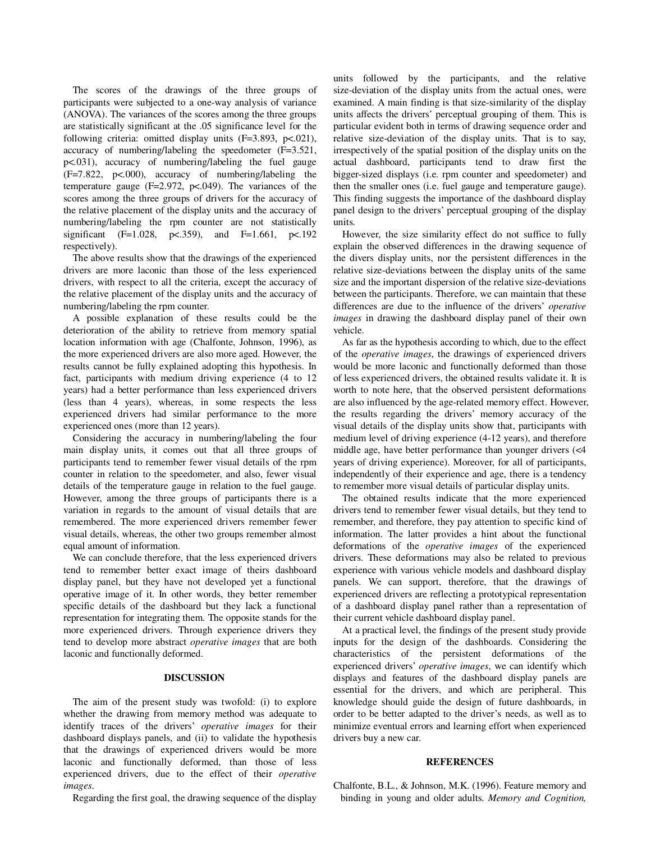The scores of the drawings of the three groups of participants were subjected to a one-way analysis of variance (ANOVA). The variances of the scores among the three groups are statistically significant at the .05 significance level for the following criteria: omitted display units (F=3.893, p<.021), accuracy of numbering/labeling the speedometer (F=3.521, p<.031), accuracy of numbering/labeling the fuel gauge (F=7.822, p<.000), accuracy of numbering/labeling the temperature gauge ( $F=2.972$ ,  $p<0.049$ ). The variances of the scores among the three groups of drivers for the accuracy of the relative placement of the display units and the accuracy of numbering/labeling the rpm counter are not statistically significant (F=1.028, p <. 359), and F=1.661, p <. 192 respectively).

The above results show that the drawings of the experienced drivers are more laconic than those of the less experienced drivers, with respect to all the criteria, except the accuracy of the relative placement of the display units and the accuracy of numbering/labeling the rpm counter.

A possible explanation of these results could be the deterioration of the ability to retrieve from memory spatial location information with age (Chalfonte, Johnson, 1996), as the more experienced drivers are also more aged. However, the results cannot be fully explained adopting this hypothesis. In fact, participants with medium driving experience (4 to 12 years) had a better performance than less experienced drivers (less than 4 years), whereas, in some respects the less experienced drivers had similar performance to the more experienced ones (more than 12 years).

Considering the accuracy in numbering/labeling the four main display units, it comes out that all three groups of participants tend to remember fewer visual details of the rpm counter in relation to the speedometer, and also, fewer visual details of the temperature gauge in relation to the fuel gauge. However, among the three groups of participants there is a variation in regards to the amount of visual details that are remembered. The more experienced drivers remember fewer visual details, whereas, the other two groups remember almost equal amount of information.

We can conclude therefore, that the less experienced drivers tend to remember better exact image of theirs dashboard display panel, but they have not developed yet a functional operative image of it. In other words, they better remember specific details of the dashboard but they lack a functional representation for integrating them. The opposite stands for the more experienced drivers. Through experience drivers they tend to develop more abstract *operative images* that are both laconic and functionally deformed.

### **DISCUSSION**

The aim of the present study was twofold: (i) to explore whether the drawing from memory method was adequate to identify traces of the drivers' *operative images* for their dashboard displays panels, and (ii) to validate the hypothesis that the drawings of experienced drivers would be more laconic and functionally deformed, than those of less experienced drivers, due to the effect of their *operative images*.

Regarding the first goal, the drawing sequence of the display

units followed by the participants, and the relative size-deviation of the display units from the actual ones, were examined. A main finding is that size-similarity of the display units affects the drivers' perceptual grouping of them. This is particular evident both in terms of drawing sequence order and relative size-deviation of the display units. That is to say, irrespectively of the spatial position of the display units on the actual dashboard, participants tend to draw first the bigger-sized displays (i.e. rpm counter and speedometer) and then the smaller ones (i.e. fuel gauge and temperature gauge). This finding suggests the importance of the dashboard display panel design to the drivers' perceptual grouping of the display units.

However, the size similarity effect do not suffice to fully explain the observed differences in the drawing sequence of the divers display units, nor the persistent differences in the relative size-deviations between the display units of the same size and the important dispersion of the relative size-deviations between the participants. Therefore, we can maintain that these differences are due to the influence of the drivers' *operative images* in drawing the dashboard display panel of their own vehicle.

As far as the hypothesis according to which, due to the effect of the *operative images*, the drawings of experienced drivers would be more laconic and functionally deformed than those of less experienced drivers, the obtained results validate it. It is worth to note here, that the observed persistent deformations are also influenced by the age-related memory effect. However, the results regarding the drivers' memory accuracy of the visual details of the display units show that, participants with medium level of driving experience (4-12 years), and therefore middle age, have better performance than younger drivers (<4 years of driving experience). Moreover, for all of participants, independently of their experience and age, there is a tendency to remember more visual details of particular display units.

The obtained results indicate that the more experienced drivers tend to remember fewer visual details, but they tend to remember, and therefore, they pay attention to specific kind of information. The latter provides a hint about the functional deformations of the *operative images* of the experienced drivers. These deformations may also be related to previous experience with various vehicle models and dashboard display panels. We can support, therefore, that the drawings of experienced drivers are reflecting a prototypical representation of a dashboard display panel rather than a representation of their current vehicle dashboard display panel.

At a practical level, the findings of the present study provide inputs for the design of the dashboards. Considering the characteristics of the persistent deformations of the experienced drivers' *operative images*, we can identify which displays and features of the dashboard display panels are essential for the drivers, and which are peripheral. This knowledge should guide the design of future dashboards, in order to be better adapted to the driver's needs, as well as to minimize eventual errors and learning effort when experienced drivers buy a new car.

## **REFERENCES**

Chalfonte, B.L., & Johnson, M.K. (1996). Feature memory and binding in young and older adults. *Memory and Cognition,*